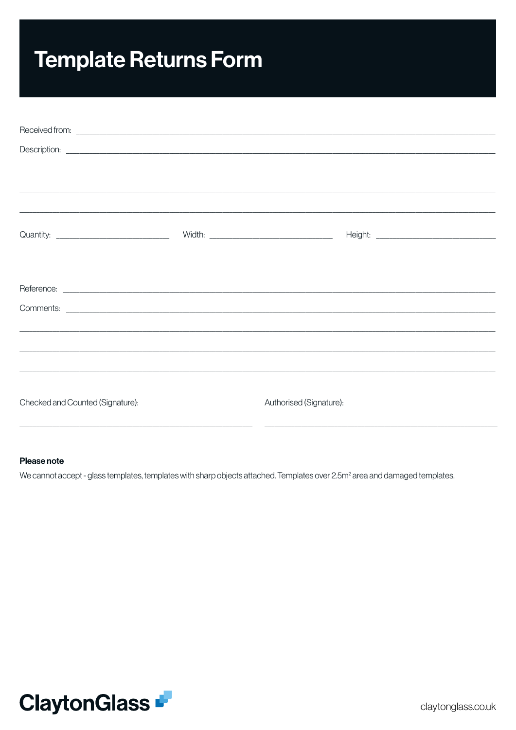# **Template Returns Form**

|                                  | Description: <u>example and the set of the set of the set of the set of the set of the set of the set of the set of the set of the set of the set of the set of the set of the set of the set of the set of the set of the set o</u> |  |
|----------------------------------|--------------------------------------------------------------------------------------------------------------------------------------------------------------------------------------------------------------------------------------|--|
|                                  |                                                                                                                                                                                                                                      |  |
|                                  |                                                                                                                                                                                                                                      |  |
|                                  |                                                                                                                                                                                                                                      |  |
|                                  |                                                                                                                                                                                                                                      |  |
|                                  |                                                                                                                                                                                                                                      |  |
|                                  |                                                                                                                                                                                                                                      |  |
|                                  |                                                                                                                                                                                                                                      |  |
|                                  |                                                                                                                                                                                                                                      |  |
|                                  |                                                                                                                                                                                                                                      |  |
|                                  |                                                                                                                                                                                                                                      |  |
|                                  |                                                                                                                                                                                                                                      |  |
|                                  |                                                                                                                                                                                                                                      |  |
| Checked and Counted (Signature): | Authorised (Signature):                                                                                                                                                                                                              |  |

#### Please note

We cannot accept - glass templates, templates with sharp objects attached. Templates over 2.5m<sup>2</sup> area and damaged templates.

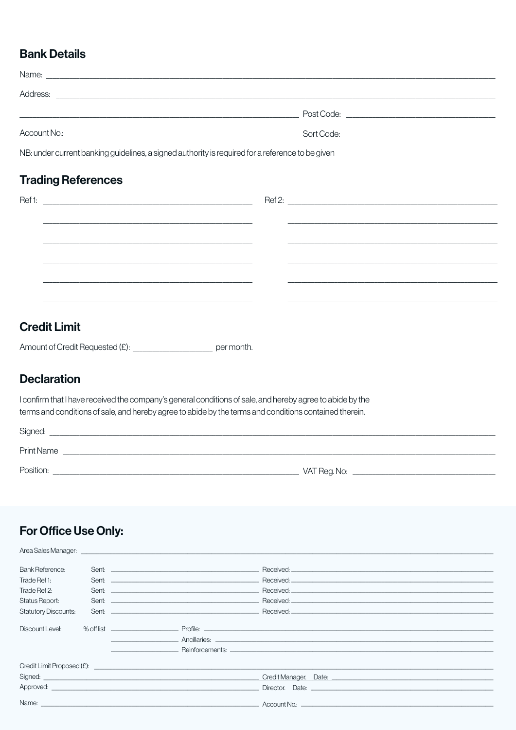#### **Bank Details**

| Name:                                                                 |  |
|-----------------------------------------------------------------------|--|
| Address:<br><u> 1989 - John Stein, Amerikaansk politiker († 1989)</u> |  |
|                                                                       |  |
| Account No.:                                                          |  |
|                                                                       |  |

NB: under current banking guidelines, a signed authority is required for a reference to be given

#### **Trading References**

| Ref1: | <u> 2008 - Jan Barnett, amerikansk politik (d. 1888)</u> |  |
|-------|----------------------------------------------------------|--|
|       |                                                          |  |
|       |                                                          |  |
|       |                                                          |  |
|       |                                                          |  |
|       |                                                          |  |
|       |                                                          |  |
|       |                                                          |  |
|       |                                                          |  |
|       |                                                          |  |
|       |                                                          |  |

### **Credit Limit**

Amount of Credit Requested (£): \_\_\_\_\_\_\_\_\_\_\_\_\_\_\_\_\_\_\_\_\_\_\_\_\_\_\_\_\_\_\_ per month.

#### **Declaration**

I confirm that I have received the company's general conditions of sale, and hereby agree to abide by the terms and conditions of sale, and hereby agree to abide by the terms and conditions contained therein.

| Signed:           |              |
|-------------------|--------------|
| <b>Print Name</b> |              |
| Position:         | VAT Reg. No: |

#### For Office Use Only:

Auge Celes Messeur

| <b>Bank Reference:</b>      |                                                                                                                                                                                                                                     |
|-----------------------------|-------------------------------------------------------------------------------------------------------------------------------------------------------------------------------------------------------------------------------------|
| Trade Ref 1:                |                                                                                                                                                                                                                                     |
| Trade Ref 2:                |                                                                                                                                                                                                                                     |
| Status Report:              |                                                                                                                                                                                                                                     |
| <b>Statutory Discounts:</b> |                                                                                                                                                                                                                                     |
|                             |                                                                                                                                                                                                                                     |
| Discount Level:             |                                                                                                                                                                                                                                     |
|                             |                                                                                                                                                                                                                                     |
|                             | <u>Designed and the second properties and the second properties and the second properties and the second properties</u>                                                                                                             |
|                             |                                                                                                                                                                                                                                     |
|                             | $C$ redit Limit Proposed $(E)$ :                                                                                                                                                                                                    |
|                             |                                                                                                                                                                                                                                     |
|                             |                                                                                                                                                                                                                                     |
|                             |                                                                                                                                                                                                                                     |
|                             | Name: <u>Communication of the Communication of the Communication of Account No.:</u> Communication of the Communication of the Communication of the Communication of the Communication of the Communication of the Communication of |
|                             |                                                                                                                                                                                                                                     |